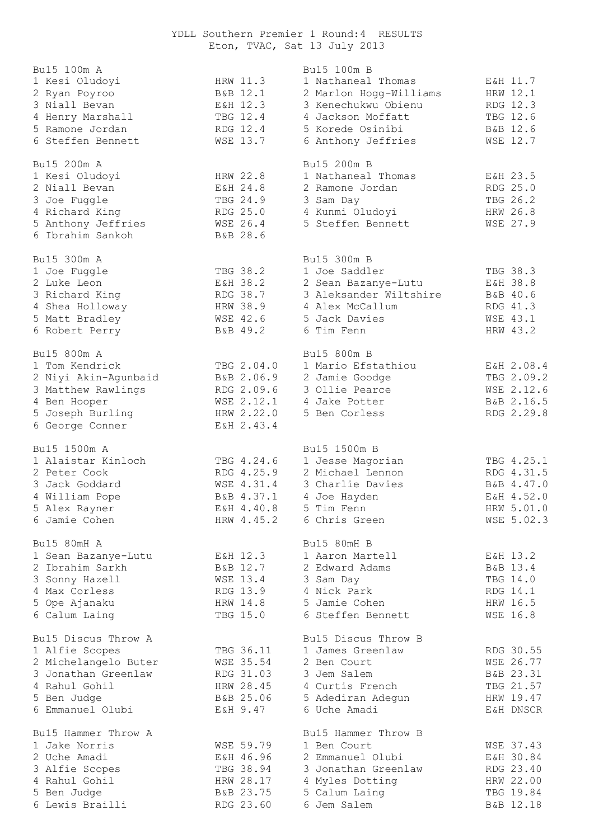## YDLL Southern Premier 1 Round:4 RESULTS Eton, TVAC, Sat 13 July 2013

| Bu15 100m A          |            | Bu15 100m B            |            |
|----------------------|------------|------------------------|------------|
| 1 Kesi Oludoyi       | HRW 11.3   | 1 Nathaneal Thomas     | E&H 11.7   |
| 2 Ryan Poyroo        | B&B 12.1   | 2 Marlon Hogg-Williams | HRW 12.1   |
| 3 Niall Bevan        | E&H 12.3   | 3 Kenechukwu Obienu    | RDG 12.3   |
| 4 Henry Marshall     | TBG 12.4   | 4 Jackson Moffatt      | TBG 12.6   |
| 5 Ramone Jordan      | RDG 12.4   | 5 Korede Osinibi       | B&B 12.6   |
| 6 Steffen Bennett    | WSE 13.7   | 6 Anthony Jeffries     | WSE 12.7   |
| Bu15 200m A          |            | Bu15 200m B            |            |
| 1 Kesi Oludoyi       | HRW 22.8   | 1 Nathaneal Thomas     | E&H 23.5   |
| 2 Niall Bevan        | E&H 24.8   | 2 Ramone Jordan        | RDG 25.0   |
| 3 Joe Fuggle         | TBG 24.9   | 3 Sam Day              | TBG 26.2   |
| 4 Richard King       | RDG 25.0   | 4 Kunmi Oludoyi        | HRW 26.8   |
| 5 Anthony Jeffries   | WSE 26.4   | 5 Steffen Bennett      | WSE 27.9   |
| 6 Ibrahim Sankoh     | B&B 28.6   |                        |            |
| Bu15 300m A          |            | Bu15 300m B            |            |
| 1 Joe Fuggle         | TBG 38.2   | 1 Joe Saddler          | TBG 38.3   |
| 2 Luke Leon          | E&H 38.2   | 2 Sean Bazanye-Lutu    | E&H 38.8   |
| 3 Richard King       | RDG 38.7   | 3 Aleksander Wiltshire | B&B 40.6   |
| 4 Shea Holloway      | HRW 38.9   | 4 Alex McCallum        | RDG 41.3   |
| 5 Matt Bradley       | WSE 42.6   | 5 Jack Davies          | WSE 43.1   |
| 6 Robert Perry       | B&B 49.2   | 6 Tim Fenn             | HRW 43.2   |
| Bu15 800m A          |            | Bu15 800m B            |            |
| 1 Tom Kendrick       | TBG 2.04.0 | 1 Mario Efstathiou     | E&H 2.08.4 |
| 2 Niyi Akin-Agunbaid | B&B 2.06.9 | 2 Jamie Goodge         | TBG 2.09.2 |
| 3 Matthew Rawlings   | RDG 2.09.6 | 3 Ollie Pearce         | WSE 2.12.6 |
| 4 Ben Hooper         | WSE 2.12.1 | 4 Jake Potter          | B&B 2.16.5 |
| 5 Joseph Burling     | HRW 2.22.0 | 5 Ben Corless          | RDG 2.29.8 |
| 6 George Conner      | E&H 2.43.4 |                        |            |
| Bu15 1500m A         |            | Bu15 1500m B           |            |
| 1 Alaistar Kinloch   | TBG 4.24.6 | 1 Jesse Magorian       | TBG 4.25.1 |
| 2 Peter Cook         | RDG 4.25.9 | 2 Michael Lennon       | RDG 4.31.5 |
| 3 Jack Goddard       | WSE 4.31.4 | 3 Charlie Davies       | B&B 4.47.0 |
| 4 William Pope       | B&B 4.37.1 | 4 Joe Hayden           | E&H 4.52.0 |
| 5 Alex Rayner        | E&H 4.40.8 | 5 Tim Fenn             | HRW 5.01.0 |
| 6 Jamie Cohen        | HRW 4.45.2 | 6 Chris Green          | WSE 5.02.3 |
| Bu15 80mH A          |            | Bu15 80mH B            |            |
| 1 Sean Bazanye-Lutu  | E&H 12.3   | 1 Aaron Martell        | E&H 13.2   |
| 2 Ibrahim Sarkh      | B&B 12.7   | 2 Edward Adams         | B&B 13.4   |
| 3 Sonny Hazell       | WSE 13.4   | 3 Sam Day              | TBG 14.0   |
| 4 Max Corless        | RDG 13.9   | 4 Nick Park            | RDG 14.1   |
| 5 Ope Ajanaku        | HRW 14.8   | 5 Jamie Cohen          | HRW 16.5   |
| 6 Calum Laing        | TBG 15.0   | 6 Steffen Bennett      | WSE 16.8   |
| Bu15 Discus Throw A  |            | Bu15 Discus Throw B    |            |
| 1 Alfie Scopes       | TBG 36.11  | 1 James Greenlaw       | RDG 30.55  |
| 2 Michelangelo Buter | WSE 35.54  | 2 Ben Court            | WSE 26.77  |
| 3 Jonathan Greenlaw  | RDG 31.03  | 3 Jem Salem            | B&B 23.31  |
| 4 Rahul Gohil        | HRW 28.45  | 4 Curtis French        | TBG 21.57  |
| 5 Ben Judge          | B&B 25.06  | 5 Adediran Adegun      | HRW 19.47  |
| 6 Emmanuel Olubi     | E&H 9.47   | 6 Uche Amadi           | E&H DNSCR  |
| Bu15 Hammer Throw A  |            | Bu15 Hammer Throw B    |            |
| 1 Jake Norris        | WSE 59.79  | 1 Ben Court            | WSE 37.43  |
| 2 Uche Amadi         | E&H 46.96  | 2 Emmanuel Olubi       | E&H 30.84  |
| 3 Alfie Scopes       | TBG 38.94  | 3 Jonathan Greenlaw    | RDG 23.40  |
| 4 Rahul Gohil        | HRW 28.17  | 4 Myles Dotting        | HRW 22.00  |
| 5 Ben Judge          | B&B 23.75  | 5 Calum Laing          | TBG 19.84  |
| 6 Lewis Brailli      | RDG 23.60  | 6 Jem Salem            | B&B 12.18  |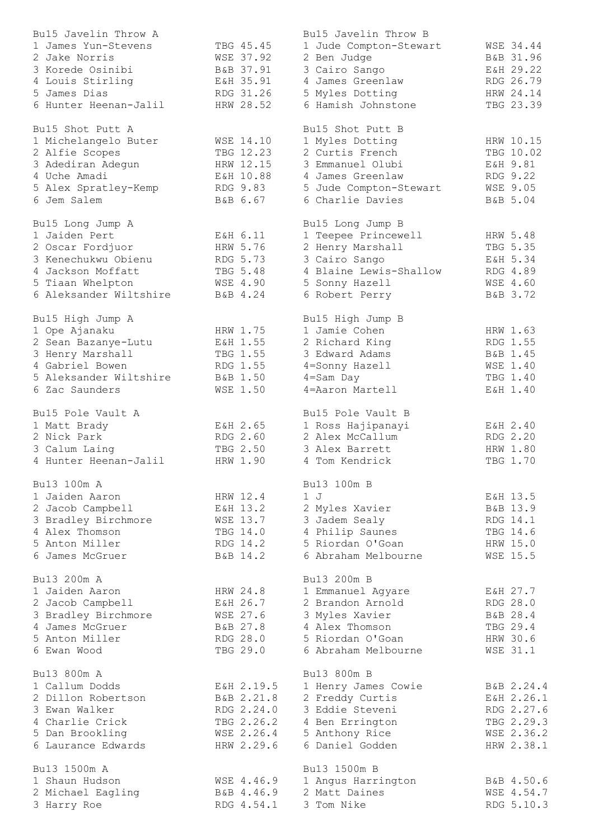| Bu15 Javelin Throw A   |                 | Bu15 Javelin Throw B   |                 |
|------------------------|-----------------|------------------------|-----------------|
| 1 James Yun-Stevens    | TBG 45.45       | 1 Jude Compton-Stewart | WSE 34.44       |
| 2 Jake Norris          | WSE 37.92       | 2 Ben Judge            | B&B 31.96       |
| 3 Korede Osinibi       | B&B 37.91       | 3 Cairo Sango          | E&H 29.22       |
| 4 Louis Stirling       | E&H 35.91       | 4 James Greenlaw       | RDG 26.79       |
| 5 James Dias           | RDG 31.26       | 5 Myles Dotting        | HRW 24.14       |
| 6 Hunter Heenan-Jalil  | HRW 28.52       | 6 Hamish Johnstone     | TBG 23.39       |
|                        |                 |                        |                 |
| Bu15 Shot Putt A       |                 | Bu15 Shot Putt B       |                 |
| 1 Michelangelo Buter   | WSE 14.10       | 1 Myles Dotting        | HRW 10.15       |
| 2 Alfie Scopes         | TBG 12.23       | 2 Curtis French        | TBG 10.02       |
| 3 Adediran Adegun      | HRW 12.15       | 3 Emmanuel Olubi       | E&H 9.81        |
| 4 Uche Amadi           | E&H 10.88       | 4 James Greenlaw       | RDG 9.22        |
|                        |                 |                        |                 |
| 5 Alex Spratley-Kemp   | RDG 9.83        | 5 Jude Compton-Stewart | WSE 9.05        |
| 6 Jem Salem            | B&B 6.67        | 6 Charlie Davies       | B&B 5.04        |
| Bu15 Long Jump A       |                 | Bu15 Long Jump B       |                 |
|                        |                 |                        |                 |
| 1 Jaiden Pert          | E&H 6.11        | 1 Teepee Princewell    | HRW 5.48        |
| 2 Oscar Fordjuor       | HRW 5.76        | 2 Henry Marshall       | TBG 5.35        |
| 3 Kenechukwu Obienu    | RDG 5.73        | 3 Cairo Sango          | E&H 5.34        |
| 4 Jackson Moffatt      | TBG 5.48        | 4 Blaine Lewis-Shallow | RDG 4.89        |
| 5 Tiaan Whelpton       | WSE 4.90        | 5 Sonny Hazell         | WSE 4.60        |
| 6 Aleksander Wiltshire | B&B 4.24        | 6 Robert Perry         | B&B 3.72        |
|                        |                 |                        |                 |
| Bu15 High Jump A       |                 | Bu15 High Jump B       |                 |
| 1 Ope Ajanaku          | HRW 1.75        | 1 Jamie Cohen          | HRW 1.63        |
| 2 Sean Bazanye-Lutu    | E&H 1.55        | 2 Richard King         | RDG 1.55        |
| 3 Henry Marshall       | TBG 1.55        | 3 Edward Adams         | B&B 1.45        |
| 4 Gabriel Bowen        | RDG 1.55        | 4=Sonny Hazell         | <b>WSE 1.40</b> |
| 5 Aleksander Wiltshire | B&B 1.50        | $4 = Sam$ Day          | TBG 1.40        |
| 6 Zac Saunders         | <b>WSE 1.50</b> | 4=Aaron Martell        | E&H 1.40        |
|                        |                 |                        |                 |
| Bu15 Pole Vault A      |                 | Bu15 Pole Vault B      |                 |
| 1 Matt Brady           | E&H 2.65        | 1 Ross Hajipanayi      | E&H 2.40        |
| 2 Nick Park            | RDG 2.60        | 2 Alex McCallum        | RDG 2.20        |
| 3 Calum Laing          | TBG 2.50        | 3 Alex Barrett         | HRW 1.80        |
| 4 Hunter Heenan-Jalil  | HRW 1.90        | 4 Tom Kendrick         | TBG 1.70        |
|                        |                 |                        |                 |
| Bu13 100m A            |                 | Bu13 100m B            |                 |
| 1 Jaiden Aaron         | HRW 12.4        | 1 J                    | E&H 13.5        |
| 2 Jacob Campbell       | E&H 13.2        | 2 Myles Xavier         | B&B 13.9        |
| 3 Bradley Birchmore    | WSE 13.7        | 3 Jadem Sealy          | RDG 14.1        |
| 4 Alex Thomson         | TBG 14.0        | 4 Philip Saunes        | TBG 14.6        |
| 5 Anton Miller         | RDG 14.2        | 5 Riordan O'Goan       | HRW 15.0        |
| 6 James McGruer        | B&B 14.2        | 6 Abraham Melbourne    | <b>WSE 15.5</b> |
|                        |                 |                        |                 |
| Bu13 200m A            |                 | Bu13 200m B            |                 |
| 1 Jaiden Aaron         | HRW 24.8        | 1 Emmanuel Agyare      | E&H 27.7        |
| 2 Jacob Campbell       | E&H 26.7        | 2 Brandon Arnold       | RDG 28.0        |
| 3 Bradley Birchmore    | WSE 27.6        | 3 Myles Xavier         | B&B 28.4        |
|                        |                 |                        |                 |
| 4 James McGruer        | B&B 27.8        | 4 Alex Thomson         | TBG 29.4        |
| 5 Anton Miller         | RDG 28.0        | 5 Riordan O'Goan       | HRW 30.6        |
| 6 Ewan Wood            | TBG 29.0        | 6 Abraham Melbourne    | <b>WSE 31.1</b> |
| Bu13 800m A            |                 | Bu13 800m B            |                 |
|                        |                 |                        |                 |
| 1 Callum Dodds         | E&H 2.19.5      | 1 Henry James Cowie    | B&B 2.24.4      |
| 2 Dillon Robertson     | B&B 2.21.8      | 2 Freddy Curtis        | E&H 2.26.1      |
| 3 Ewan Walker          | RDG 2.24.0      | 3 Eddie Steveni        | RDG 2.27.6      |
| 4 Charlie Crick        | TBG 2.26.2      | 4 Ben Errington        | TBG 2.29.3      |
| 5 Dan Brookling        | WSE 2.26.4      | 5 Anthony Rice         | WSE 2.36.2      |
| 6 Laurance Edwards     | HRW 2.29.6      | 6 Daniel Godden        | HRW 2.38.1      |
|                        |                 |                        |                 |
| Bu13 1500m A           |                 | Bu13 1500m B           |                 |
| 1 Shaun Hudson         | WSE 4.46.9      | 1 Angus Harrington     | B&B 4.50.6      |
| 2 Michael Eagling      | B&B 4.46.9      | 2 Matt Daines          | WSE 4.54.7      |
| 3 Harry Roe            | RDG 4.54.1      | 3 Tom Nike             | RDG 5.10.3      |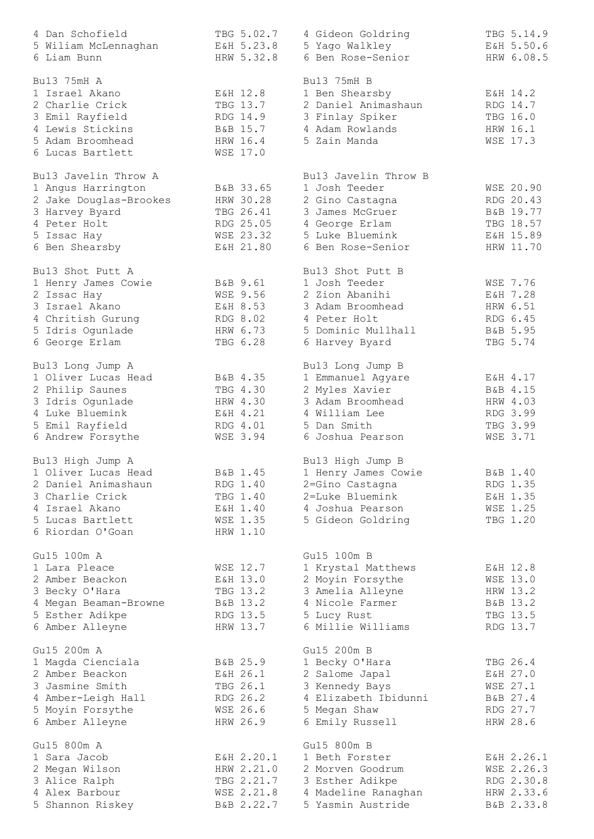| 4 Dan Schofield        | TBG 5.02.7             | 4 Gideon Goldring                  | TBG 5.14.9 |
|------------------------|------------------------|------------------------------------|------------|
| 5 Wiliam McLennaghan   | E&H 5.23.8             | 5 Yago Walkley                     | E&H 5.50.6 |
| 6 Liam Bunn            | HRW 5.32.8             | 6 Ben Rose-Senior                  | HRW 6.08.5 |
|                        |                        |                                    |            |
| Bu13 75mH A            |                        | Bu13 75mH B                        |            |
| 1 Israel Akano         | E&H 12.8               | 1 Ben Shearsby                     | E&H 14.2   |
| 2 Charlie Crick        | TBG 13.7               | 2 Daniel Animashaun                | RDG 14.7   |
| 3 Emil Rayfield        | RDG 14.9               | 3 Finlay Spiker                    | TBG 16.0   |
| 4 Lewis Stickins       |                        | 4 Adam Rowlands                    | HRW 16.1   |
| 5 Adam Broomhead       | B&B 15.7               |                                    |            |
|                        | HRW 16.4               | 5 Zain Manda                       | WSE 17.3   |
| 6 Lucas Bartlett       | WSE 17.0               |                                    |            |
| Bu13 Javelin Throw A   |                        | Bu13 Javelin Throw B               |            |
| 1 Angus Harrington     | B&B 33.65              | 1 Josh Teeder                      | WSE 20.90  |
| 2 Jake Douglas-Brookes | HRW 30.28              |                                    | RDG 20.43  |
|                        |                        | 2 Gino Castagna<br>3 James McGruer |            |
| 3 Harvey Byard         | TBG 26.41<br>RDG 25.05 |                                    | B&B 19.77  |
| 4 Peter Holt           |                        | 4 George Erlam                     | TBG 18.57  |
| 5 Issac Hay            | WSE 23.32              | 5 Luke Bluemink                    | E&H 15.89  |
| 6 Ben Shearsby         | E&H 21.80              | 6 Ben Rose-Senior                  | HRW 11.70  |
| Bu13 Shot Putt A       |                        | Bu13 Shot Putt B                   |            |
| 1 Henry James Cowie    | B&B 9.61               | 1 Josh Teeder                      | WSE 7.76   |
| 2 Issac Hay            | <b>WSE 9.56</b>        | 2 Zion Abanihi                     | E&H 7.28   |
| 3 Israel Akano         | E&H 8.53               | 3 Adam Broomhead                   | HRW 6.51   |
| 4 Chritish Gurung      | RDG 8.02               | 4 Peter Holt                       | RDG 6.45   |
|                        | HRW 6.73               | 5 Dominic Mullhall                 | B&B 5.95   |
| 5 Idris Ogunlade       |                        |                                    |            |
| 6 George Erlam         | TBG 6.28               | 6 Harvey Byard                     | TBG 5.74   |
| Bu13 Long Jump A       |                        | Bu13 Long Jump B                   |            |
| 1 Oliver Lucas Head    | B&B 4.35               | 1 Emmanuel Agyare                  | E&H 4.17   |
| 2 Philip Saunes        | TBG 4.30               | 2 Myles Xavier                     | B&B 4.15   |
| 3 Idris Ogunlade       | HRW 4.30               | 3 Adam Broomhead                   | HRW 4.03   |
| 4 Luke Bluemink        | E&H 4.21               | 4 William Lee                      | RDG 3.99   |
| 5 Emil Rayfield        | RDG 4.01               | 5 Dan Smith                        | TBG 3.99   |
| 6 Andrew Forsythe      | WSE 3.94               | 6 Joshua Pearson                   | WSE 3.71   |
|                        |                        |                                    |            |
| Bu13 High Jump A       |                        | Bu13 High Jump B                   |            |
| 1 Oliver Lucas Head    | B&B 1.45               | 1 Henry James Cowie                | B&B 1.40   |
| 2 Daniel Animashaun    | RDG 1.40               | 2=Gino Castagna                    | RDG 1.35   |
| 3 Charlie Crick        | TBG 1.40               | 2=Luke Bluemink                    | E&H 1.35   |
| 4 Israel Akano         | E&H 1.40               | 4 Joshua Pearson                   | WSE 1.25   |
| 5 Lucas Bartlett       | WSE 1.35               | 5 Gideon Goldring                  | TBG 1.20   |
| 6 Riordan O'Goan       | HRW 1.10               |                                    |            |
|                        |                        |                                    |            |
| Gu15 100m A            |                        | Gu15 100m B                        |            |
| 1 Lara Pleace          | WSE 12.7               | 1 Krystal Matthews                 | E&H 12.8   |
| 2 Amber Beackon        | E&H 13.0               | 2 Moyin Forsythe                   | WSE 13.0   |
| 3 Becky O'Hara         | TBG 13.2               | 3 Amelia Alleyne                   | HRW 13.2   |
| 4 Megan Beaman-Browne  | B&B 13.2               | 4 Nicole Farmer                    | B&B 13.2   |
| 5 Esther Adikpe        | RDG 13.5               | 5 Lucy Rust                        | TBG 13.5   |
| 6 Amber Alleyne        | HRW 13.7               | 6 Millie Williams                  | RDG 13.7   |
|                        |                        |                                    |            |
| Gu15 200m A            |                        | Gu15 200m B                        |            |
| 1 Magda Cienciala      | B&B 25.9               | 1 Becky O'Hara                     | TBG 26.4   |
| 2 Amber Beackon        | E&H 26.1               | 2 Salome Japal                     | E&H 27.0   |
| 3 Jasmine Smith        | TBG 26.1               | 3 Kennedy Bays                     | WSE 27.1   |
| 4 Amber-Leigh Hall     | RDG 26.2               | 4 Elizabeth Ibidunni               | B&B 27.4   |
| 5 Moyin Forsythe       | WSE 26.6               | 5 Megan Shaw                       | RDG 27.7   |
| 6 Amber Alleyne        | HRW 26.9               | 6 Emily Russell                    | HRW 28.6   |
|                        |                        |                                    |            |
| Gu15 800m A            |                        | Gu15 800m B                        |            |
| 1 Sara Jacob           | E&H 2.20.1             | 1 Beth Forster                     | E&H 2.26.1 |
| 2 Megan Wilson         | HRW 2.21.0             | 2 Morven Goodrum                   | WSE 2.26.3 |
| 3 Alice Ralph          | TBG 2.21.7             | 3 Esther Adikpe                    | RDG 2.30.8 |
| 4 Alex Barbour         | WSE 2.21.8             | 4 Madeline Ranaghan                | HRW 2.33.6 |
| 5 Shannon Riskey       | B&B 2.22.7             | 5 Yasmin Austride                  | B&B 2.33.8 |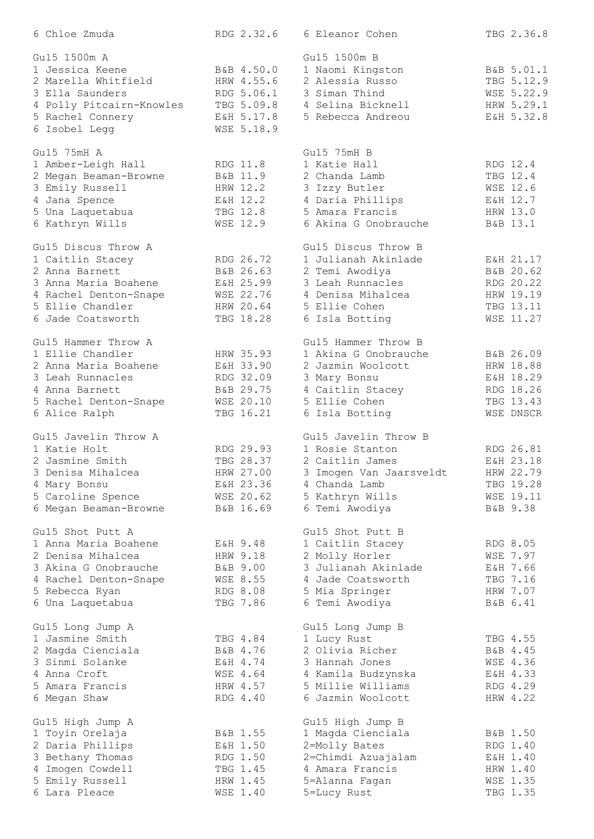| 6 Chloe Zmuda                       | RDG 2.32.6 | 6 Eleanor Cohen                 | TBG 2.36.8 |
|-------------------------------------|------------|---------------------------------|------------|
| Gu15 1500m A                        |            | Gu15 1500m B                    |            |
| 1 Jessica Keene                     | B&B 4.50.0 | 1 Naomi Kingston                | B&B 5.01.1 |
| 2 Marella Whitfield                 | HRW 4.55.6 | 2 Alessia Russo                 | TBG 5.12.9 |
| 3 Ella Saunders                     | RDG 5.06.1 | 3 Siman Thind                   | WSE 5.22.9 |
| 4 Polly Pitcairn-Knowles            | TBG 5.09.8 | 4 Selina Bicknell               | HRW 5.29.1 |
| 5 Rachel Connery                    | E&H 5.17.8 | 5 Rebecca Andreou               | E&H 5.32.8 |
|                                     | WSE 5.18.9 |                                 |            |
| 6 Isobel Legg                       |            |                                 |            |
| Gu15 75mH A                         |            | Gu15 75mH B                     |            |
| 1 Amber-Leigh Hall                  | RDG 11.8   | 1 Katie Hall                    | RDG 12.4   |
| 2 Megan Beaman-Browne               | B&B 11.9   | 2 Chanda Lamb                   | TBG 12.4   |
| 3 Emily Russell                     | HRW 12.2   | 3 Izzy Butler                   | WSE 12.6   |
| 4 Jana Spence                       | E&H 12.2   | 4 Daria Phillips                | E&H 12.7   |
| 5 Una Laquetabua                    | TBG 12.8   | 5 Amara Francis                 | HRW 13.0   |
| 6 Kathryn Wills                     | WSE 12.9   | 6 Akina G Onobrauche            | B&B 13.1   |
|                                     |            |                                 |            |
| Gu15 Discus Throw A                 |            | Gu15 Discus Throw B             |            |
| 1 Caitlin Stacey                    | RDG 26.72  | 1 Julianah Akinlade             | E&H 21.17  |
| 2 Anna Barnett                      | B&B 26.63  | 2 Temi Awodiya                  | B&B 20.62  |
| 3 Anna Maria Boahene                | E&H 25.99  | 3 Leah Runnacles                | RDG 20.22  |
| 4 Rachel Denton-Snape               | WSE 22.76  | 4 Denisa Mihalcea               | HRW 19.19  |
| 5 Ellie Chandler                    | HRW 20.64  | 5 Ellie Cohen                   | TBG 13.11  |
| 6 Jade Coatsworth                   | TBG 18.28  | 6 Isla Botting                  | WSE 11.27  |
| Gu15 Hammer Throw A                 |            | Gu15 Hammer Throw B             |            |
| 1 Ellie Chandler                    | HRW 35.93  | 1 Akina G Onobrauche            | B&B 26.09  |
| 2 Anna Maria Boahene                | E&H 33.90  | 2 Jazmin Woolcott               | HRW 18.88  |
|                                     |            |                                 |            |
| 3 Leah Runnacles                    | RDG 32.09  | 3 Mary Bonsu                    | E&H 18.29  |
| 4 Anna Barnett                      | B&B 29.75  | 4 Caitlin Stacey                | RDG 18.26  |
| 5 Rachel Denton-Snape               | WSE 20.10  | 5 Ellie Cohen                   | TBG 13.43  |
| 6 Alice Ralph                       | TBG 16.21  | 6 Isla Botting                  | WSE DNSCR  |
| Gu15 Javelin Throw A                |            | Gu15 Javelin Throw B            |            |
| 1 Katie Holt                        | RDG 29.93  | 1 Rosie Stanton                 | RDG 26.81  |
| 2 Jasmine Smith                     | TBG 28.37  | 2 Caitlin James                 | E&H 23.18  |
| 3 Denisa Mihalcea                   | HRW 27.00  | Imogen Van Jaarsveldt<br>3      | HRW 22.79  |
| 4 Mary Bonsu                        | E&H 23.36  | 4 Chanda Lamb                   | TBG 19.28  |
| 5 Caroline Spence                   | WSE 20.62  | 5 Kathryn Wills                 | WSE 19.11  |
| 6 Megan Beaman-Browne               | B&B 16.69  | 6 Temi Awodiya                  | B&B 9.38   |
|                                     |            |                                 |            |
| Gu15 Shot Putt A                    |            | Gu15 Shot Putt B                |            |
| 1 Anna Maria Boahene                | E&H 9.48   | 1 Caitlin Stacey                | RDG 8.05   |
| 2 Denisa Mihalcea                   | HRW 9.18   | 2 Molly Horler                  | WSE 7.97   |
| 3 Akina G Onobrauche                | B&B 9.00   | 3 Julianah Akinlade             | E&H 7.66   |
| 4 Rachel Denton-Snape               | WSE 8.55   | 4 Jade Coatsworth               | TBG 7.16   |
| 5 Rebecca Ryan                      | RDG 8.08   | 5 Mia Springer                  | HRW 7.07   |
| 6 Una Laquetabua                    | TBG 7.86   | 6 Temi Awodiya                  | B&B 6.41   |
|                                     |            |                                 |            |
| Gu15 Long Jump A<br>1 Jasmine Smith | TBG 4.84   | Gu15 Long Jump B<br>1 Lucy Rust | TBG 4.55   |
|                                     |            |                                 |            |
| 2 Magda Cienciala                   | B&B 4.76   | 2 Olivia Richer                 | B&B 4.45   |
| 3 Sinmi Solanke                     | E&H 4.74   | 3 Hannah Jones                  | WSE 4.36   |
| 4 Anna Croft                        | WSE 4.64   | 4 Kamila Budzynska              | E&H 4.33   |
| 5 Amara Francis                     | HRW 4.57   | 5 Millie Williams               | RDG 4.29   |
| 6 Megan Shaw                        | RDG 4.40   | 6 Jazmin Woolcott               | HRW 4.22   |
| Gu15 High Jump A                    |            | Gu15 High Jump B                |            |
| 1 Toyin Orelaja                     | B&B 1.55   | 1 Magda Cienciala               | B&B 1.50   |
| 2 Daria Phillips                    | E&H 1.50   | 2=Molly Bates                   | RDG 1.40   |
| 3 Bethany Thomas                    | RDG 1.50   | 2=Chimdi Azuajalam              | E&H 1.40   |
| 4 Imogen Cowdell                    | TBG 1.45   | 4 Amara Francis                 | HRW 1.40   |
| 5 Emily Russell                     | HRW 1.45   | 5=Alanna Fagan                  | WSE 1.35   |
| 6 Lara Pleace                       |            |                                 |            |
|                                     | WSE 1.40   | 5=Lucy Rust                     | TBG 1.35   |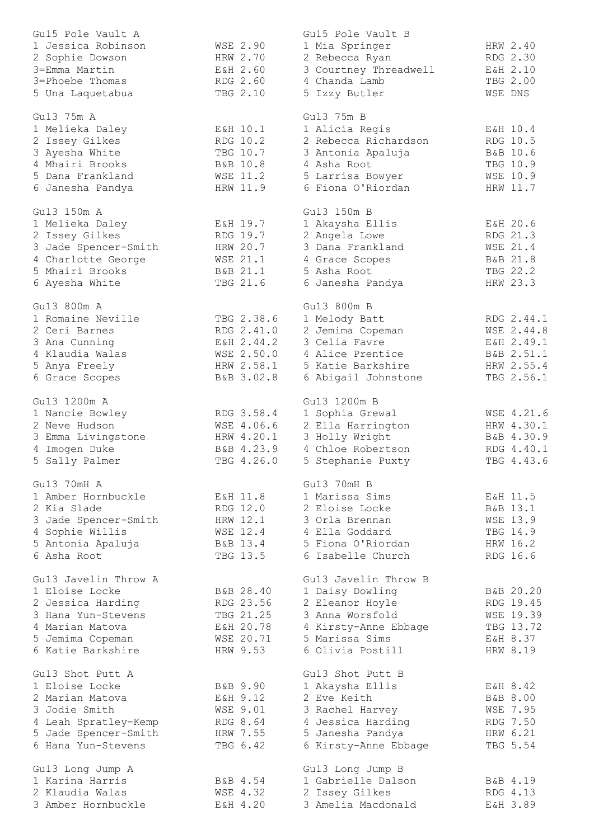| Gu15 Pole Vault A                            |                      | Gu15 Pole Vault B                     |                      |
|----------------------------------------------|----------------------|---------------------------------------|----------------------|
| 1 Jessica Robinson                           | WSE 2.90             | 1 Mia Springer                        | HRW 2.40             |
| 2 Sophie Dowson                              | HRW 2.70             | 2 Rebecca Ryan                        | RDG 2.30             |
| 3=Emma Martin                                | E&H 2.60             | 3 Courtney Threadwell                 | E&H 2.10             |
| 3=Phoebe Thomas                              | RDG 2.60             | 4 Chanda Lamb                         | TBG 2.00             |
| 5 Una Laquetabua                             | TBG 2.10             | 5 Izzy Butler                         | WSE DNS              |
| Gu13 75m A                                   |                      | Gu13 75m B                            |                      |
| 1 Melieka Daley                              | E&H 10.1             | 1 Alicia Regis                        | E&H 10.4             |
| 2 Issey Gilkes                               | RDG 10.2             | 2 Rebecca Richardson                  | RDG 10.5             |
| 3 Ayesha White                               | TBG 10.7             | 3 Antonia Apaluja                     | B&B 10.6             |
| 4 Mhairi Brooks                              | B&B 10.8             | 4 Asha Root                           | TBG 10.9             |
| 5 Dana Frankland                             | <b>WSE 11.2</b>      | 5 Larrisa Bowyer                      | WSE 10.9             |
| 6 Janesha Pandya                             | HRW 11.9             | 6 Fiona O'Riordan                     | HRW 11.7             |
|                                              |                      |                                       |                      |
| Gu13 150m A                                  |                      | Gu13 150m B                           |                      |
| 1 Melieka Daley                              | E&H 19.7             | 1 Akaysha Ellis                       | E&H 20.6             |
| 2 Issey Gilkes                               | RDG 19.7             | 2 Angela Lowe                         | RDG 21.3             |
| 3 Jade Spencer-Smith                         | HRW 20.7             | 3 Dana Frankland                      | WSE 21.4             |
| 4 Charlotte George<br>5 Mhairi Brooks        | WSE 21.1<br>B&B 21.1 | 4 Grace Scopes<br>5 Asha Root         | B&B 21.8<br>TBG 22.2 |
| 6 Ayesha White                               | TBG 21.6             | 6 Janesha Pandya                      | HRW 23.3             |
|                                              |                      |                                       |                      |
| Gu13 800m A                                  |                      | Gu13 800m B                           |                      |
| 1 Romaine Neville                            | TBG 2.38.6           | 1 Melody Batt                         | RDG 2.44.1           |
| 2 Ceri Barnes                                | RDG 2.41.0           | 2 Jemima Copeman                      | WSE 2.44.8           |
| 3 Ana Cunning                                | E&H 2.44.2           | 3 Celia Favre                         | E&H 2.49.1           |
| 4 Klaudia Walas                              | WSE 2.50.0           | 4 Alice Prentice                      | B&B 2.51.1           |
| 5 Anya Freely                                | HRW 2.58.1           | 5 Katie Barkshire                     | HRW 2.55.4           |
| 6 Grace Scopes                               | B&B 3.02.8           | 6 Abigail Johnstone                   | TBG 2.56.1           |
| Gu13 1200m A                                 |                      | Gu13 1200m B                          |                      |
| 1 Nancie Bowley                              | RDG 3.58.4           | 1 Sophia Grewal                       | WSE 4.21.6           |
| 2 Neve Hudson                                | WSE 4.06.6           | 2 Ella Harrington                     | HRW 4.30.1           |
| 3 Emma Livingstone                           | HRW 4.20.1           | 3 Holly Wright                        | B&B 4.30.9           |
| 4 Imogen Duke                                | B&B 4.23.9           | 4 Chloe Robertson                     | RDG 4.40.1           |
| 5 Sally Palmer                               | TBG 4.26.0           | 5 Stephanie Puxty                     | TBG 4.43.6           |
| Gu13 70mH A                                  |                      | Gu13 70mH B                           |                      |
| 1 Amber Hornbuckle                           | E&H 11.8             | 1 Marissa Sims                        | E&H 11.5             |
| 2 Kia Slade                                  | RDG 12.0             | 2 Eloise Locke                        | B&B 13.1             |
| 3 Jade Spencer-Smith                         | HRW 12.1             | 3 Orla Brennan                        | <b>WSE 13.9</b>      |
| 4 Sophie Willis                              | WSE 12.4             | 4 Ella Goddard                        | TBG 14.9             |
| 5 Antonia Apaluja                            | B&B 13.4             | 5 Fiona O'Riordan                     | HRW 16.2             |
| 6 Asha Root                                  | TBG 13.5             | 6 Isabelle Church                     | RDG 16.6             |
| Gu13 Javelin Throw A                         |                      | Gul3 Javelin Throw B                  |                      |
| 1 Eloise Locke                               | B&B 28.40            | 1 Daisy Dowling                       | B&B 20.20            |
| 2 Jessica Harding                            | RDG 23.56            | 2 Eleanor Hoyle                       | RDG 19.45            |
| 3 Hana Yun-Stevens                           | TBG 21.25            | 3 Anna Worsfold                       | WSE 19.39            |
| 4 Marian Matova                              | E&H 20.78            | 4 Kirsty-Anne Ebbage                  | TBG 13.72            |
| 5 Jemima Copeman                             | WSE 20.71            | 5 Marissa Sims                        | E&H 8.37             |
| 6 Katie Barkshire                            | HRW 9.53             | 6 Olivia Postill                      | HRW 8.19             |
|                                              |                      |                                       |                      |
| Gu13 Shot Putt A<br>1 Eloise Locke           | B&B 9.90             | Gu13 Shot Putt B                      | E&H 8.42             |
| 2 Marian Matova                              | E&H 9.12             | 1 Akaysha Ellis<br>2 Eve Keith        | B&B 8.00             |
| 3 Jodie Smith                                | WSE 9.01             |                                       | <b>WSE 7.95</b>      |
|                                              |                      | 3 Rachel Harvey                       | RDG 7.50             |
| 4 Leah Spratley-Kemp<br>5 Jade Spencer-Smith | RDG 8.64<br>HRW 7.55 | 4 Jessica Harding<br>5 Janesha Pandya | HRW 6.21             |
| 6 Hana Yun-Stevens                           | TBG 6.42             | 6 Kirsty-Anne Ebbage                  | TBG 5.54             |
|                                              |                      |                                       |                      |
| Gu13 Long Jump A                             |                      | Gu13 Long Jump B                      |                      |
| 1 Karina Harris                              | B&B 4.54             | 1 Gabrielle Dalson                    | B&B 4.19             |
| 2 Klaudia Walas                              | WSE 4.32             | 2 Issey Gilkes                        | RDG 4.13             |
| 3 Amber Hornbuckle                           | E&H 4.20             | 3 Amelia Macdonald                    | E&H 3.89             |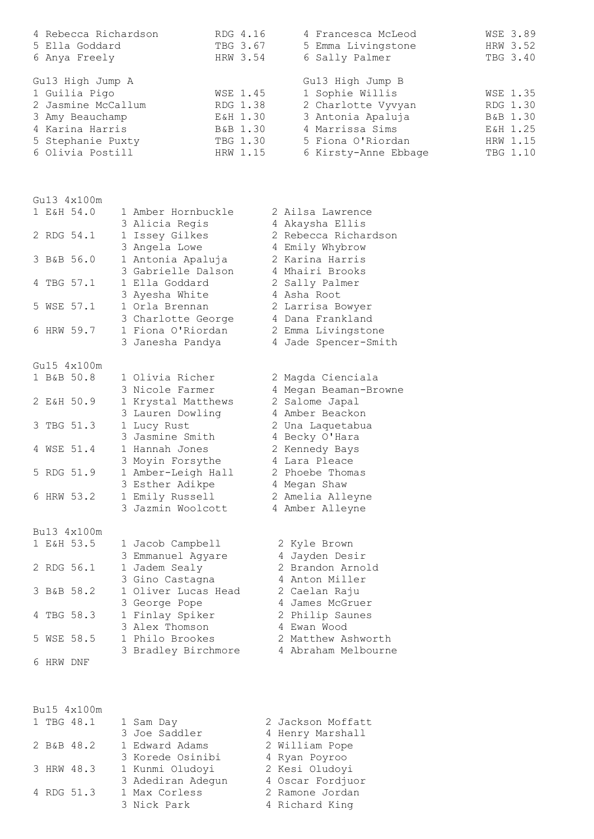| 4 Rebecca Richardson | RDG 4.16 | 4 Francesca McLeod   | <b>WSE 3.89</b> |
|----------------------|----------|----------------------|-----------------|
| 5 Ella Goddard       | TBG 3.67 | 5 Emma Livingstone   | HRW 3.52        |
| 6 Anya Freely        | HRW 3.54 | 6 Sally Palmer       | TBG 3.40        |
| Gu13 High Jump A     |          | Gu13 High Jump B     |                 |
| 1 Guilia Pigo        | WSE 1.45 | 1 Sophie Willis      | <b>WSE 1.35</b> |
| 2 Jasmine McCallum   | RDG 1.38 | 2 Charlotte Vyvyan   | RDG 1.30        |
| 3 Amy Beauchamp      | E&H 1.30 | 3 Antonia Apaluja    | B&B 1.30        |
| 4 Karina Harris      | B&B 1.30 | 4 Marrissa Sims      | E&H 1.25        |
| 5 Stephanie Puxty    | TBG 1.30 | 5 Fiona O'Riordan    | HRW 1.15        |
| 6 Olivia Postill     | HRW 1.15 | 6 Kirsty-Anne Ebbage | TBG 1.10        |

| Gu13 4x100m |                     |                       |
|-------------|---------------------|-----------------------|
| 1 E&H 54.0  | 1 Amber Hornbuckle  | 2 Ailsa Lawrence      |
|             | 3 Alicia Regis      | 4 Akaysha Ellis       |
| 2 RDG 54.1  | 1 Issey Gilkes      | 2 Rebecca Richardson  |
|             | 3 Angela Lowe       | 4 Emily Whybrow       |
| 3 B&B 56.0  | 1 Antonia Apaluja   | 2 Karina Harris       |
|             | 3 Gabrielle Dalson  | 4 Mhairi Brooks       |
| 4 TBG 57.1  | 1 Ella Goddard      | 2 Sally Palmer        |
|             | 3 Ayesha White      | 4 Asha Root           |
| 5 WSE 57.1  | 1 Orla Brennan      | 2 Larrisa Bowyer      |
|             | 3 Charlotte George  | 4 Dana Frankland      |
| 6 HRW 59.7  | 1 Fiona O'Riordan   | 2 Emma Livingstone    |
|             | 3 Janesha Pandya    | 4 Jade Spencer-Smith  |
| Gu15 4x100m |                     |                       |
| 1 B&B 50.8  | 1 Olivia Richer     | 2 Magda Cienciala     |
|             | 3 Nicole Farmer     | 4 Megan Beaman-Browne |
| 2 E&H 50.9  | 1 Krystal Matthews  | 2 Salome Japal        |
|             | 3 Lauren Dowling    | 4 Amber Beackon       |
| 3 TBG 51.3  | 1 Lucy Rust         | 2 Una Laquetabua      |
|             | 3 Jasmine Smith     | 4 Becky O'Hara        |
| 4 WSE 51.4  | 1 Hannah Jones      | 2 Kennedy Bays        |
|             | 3 Moyin Forsythe    | 4 Lara Pleace         |
| 5 RDG 51.9  | 1 Amber-Leigh Hall  | 2 Phoebe Thomas       |
|             | 3 Esther Adikpe     | 4 Megan Shaw          |
| 6 HRW 53.2  | 1 Emily Russell     | 2 Amelia Alleyne      |
|             | 3 Jazmin Woolcott   | 4 Amber Alleyne       |
| Bu13 4x100m |                     |                       |
| 1 E&H 53.5  | 1 Jacob Campbell    | 2 Kyle Brown          |
|             | 3 Emmanuel Agyare   | 4 Jayden Desir        |
| 2 RDG 56.1  | 1 Jadem Sealy       | 2 Brandon Arnold      |
|             | 3 Gino Castagna     | 4 Anton Miller        |
| 3 B&B 58.2  | 1 Oliver Lucas Head | 2 Caelan Raju         |
|             | 3 George Pope       | 4 James McGruer       |
| 4 TBG 58.3  | 1 Finlay Spiker     | 2 Philip Saunes       |
|             | 3 Alex Thomson      | 4 Ewan Wood           |
| 5 WSE 58.5  | 1 Philo Brookes     | 2 Matthew Ashworth    |
|             | 3 Bradley Birchmore | 4 Abraham Melbourne   |

Bu15 4x100m<br>1 TBG 48.1 1 TBG 48.1 1 Sam Day 2 Jackson Moffatt 3 Joe Saddler 4 Henry Marshall 2 B&B 48.2 1 Edward Adams 2 William Pope 3 Korede Osinibi 4 Ryan Poyroo 3 HRW 48.3 1 Kunmi Oludoyi 2 Kesi Oludoyi 3 Adediran Adegun 4 Oscar Fordjuor 4 RDG 51.3 1 Max Corless 2 Ramone Jordan 3 Nick Park 4 Richard King

6 HRW DNF